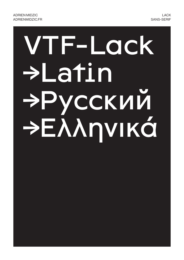# VTF-Lock >Latin >Русский PEAANVIKÁ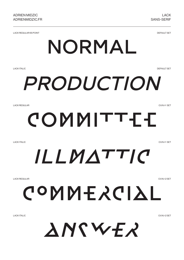LACK REGULAR 65 POINT

DEFAULT SET

### NORMAL

LACK ITALIC

**DEFAULT SET** 

## *PRODUCTION*

LACK REGULAR

O.V.N.I-1 SET

### COMMITTEE

LACK ITALIC

O.V.N.I-1 SET

### *ILLMATTIC*

LACK REGULAR

O.V.N.I-2 SET

COMMERCIAL

LACK ITALIC

O.V.N.I-2 SET

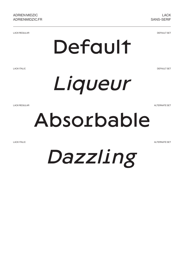LACK REGULAR

DEFAULT SET

### Default

LACK ITALIC

DEFAULT SET



LACK REGULAR

ALTERNATE SET

### Absorbable

LACK ITALIC

ALTERNATE SET

*Dazzling*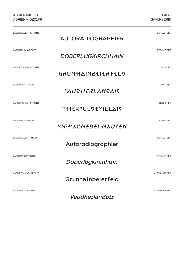| <b>LACK REGULAR 18 POINT</b> | <b>AUTORADIOGRAPHIER</b>      | <b>DEFAULT SET</b>   |
|------------------------------|-------------------------------|----------------------|
| <b>LACK ITALIC 18 POINT</b>  | DOBERLUGKIRCHHAIN             | <b>DEFAULT SET</b>   |
| <b>LACK REGULAR 18 POINT</b> | GRUNHAINBEIERFELD             | OVNI-1SET            |
| <b>LACK ITALIC 18 POINT</b>  | <b>YAU9HERLAN9AIS</b>         | <b>OVNI-1SET</b>     |
| <b>LACK REGULAR 18 POINT</b> | <b>THE ROUL DE YILL AIR</b>   | OVNI-2 SET           |
| <b>LACK ITALIC 18 POINT</b>  | ΥΙ·Ρ·Ρ·ΔΟ Η Η ΕΡΕΙΔΗ ΑΙ Ο ΚΈΝ | OVNI-2 SET           |
| LACK REGULAR 18 POINT        | Autoradiographier             | <b>DEFAULT SET</b>   |
| <b>LACK ITALIC 18 POINT</b>  | Doberlugkirchhain             | <b>DEFAULT SET</b>   |
| LACK REGULAR 18 POINT        | Grunhainbeierfeld             | ALTERNATE SET        |
| <b>LACK ITALIC 18 POINT</b>  | Vaudherlandais                | <b>ALTERNATE SET</b> |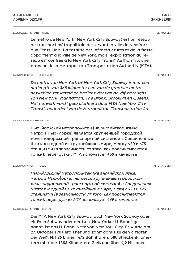#### LACK REGULAR 13 POINT — FRENCH

Le métro de New York (New York City Subway) est un réseau de transport métropolitain desservant la ville de New York aux États-Unis. La totalité des infrastructures et de la flotte appartient à la ville de New York, mais l'exploitation du réseau est confiée à la New York City Transit Authority3, une branche de la Metropolitan Transportation Authority (MTA).

LACK ITALIC 13 POINT — NEDERLANDS

*De metro van New York of New York City Subway is met een netlengte van 368 kilometer een van de grootste metronetwerken ter wereld en bedient vier van de vijf boroughs van New York: Manhattan, The Bronx, Brooklyn en Queens. Het netwerk wordt geëxploiteerd door MTA New York City Transit, onderdeel van de Metropolitan Transportation Au-*

LACK REGULAR 13 POINT — RUSSE

Нью-йоркский метрополитен (на английском языке, метро в Нью-Йорке) является крупнейшей городской железнодорожной транспортной системой в Соединенных Штатах и одной из крупнейших в мире, между 420 и 475 станциями (в зависимости от того, как подсчитываются точки). перегрузки: MTA использует 469 в качестве

LACK ITALIC 13 POINT — RUSSE

*Нью-йоркский метрополитен (на английском языке, метро в Нью-Йорке) является крупнейшей городской железнодорожной транспортной системой в Соединенных Штатах и одной из крупнейших в мире, между 420 и 475 станциями (в зависимости от того, как подсчитываются точки). перегрузки: MTA использует 469 в качестве* 

LACK REGULAR 13 POINT — DEUTSCH

Die MTA New York City Subway, auch New York Subway oder einfach Subway oder deutsch , New Yorker U-Bahn" genannt, ist das U-Bahn-Netz von New York City. Es wurde am 27. Oktober 1904 eröffnet und zählt damit zu den ältesten der Welt. Mit 25 Linien, 472 Bahnhöfen, 380 Streckenkilometern mit über 1355 Kilometern Gleis und über 4,9 Millionen

DEFAULT SET

SANS-SERIF

LACK

DEFAULT SET

ALTERNATE SET

ALTERNATE SET

DEFAULT SET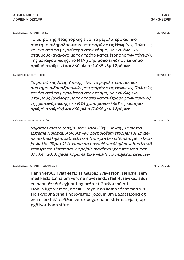LACK REGULAR 13 POINT — GREC

Το μετρό της Νέας Υόρκης είναι το μεγαλύτερο αστικό σύστημα σιδηροδρομικών μεταφορών στις Ηνωμένες Πολιτείες και ένα από τα μεγαλύτερα στον κόσμο, με 420 έως 475 σταθμούς (ανάλογα με τον τρόπο καταμέτρησης των πόντων). της μεταφόρτωσης: το ΜΤΑ χρησιμοποιεί 469 ως επίσημο αριθμό σταθμών) και 660 μίλια (1.062 χλμ.) δρόμων

LACK ITALIC 13 POINT — GREC

*Το μετρό της Νέας Υόρκης είναι το μεγαλύτερο αστικό σύστημα σιδηροδρομικών μεταφορών στις Ηνωμένες Πολιτείες και ένα από τα μεγαλύτερα στον κόσμο, με 420 έως 475 σταθμούς (ανάλογα με τον τρόπο καταμέτρησης των πόντων). της μεταφόρτωσης: το ΜΤΑ χρησιμοποιεί 469 ως επίσημο αριθμό σταθμών) και 660 μίλια (1.062 χλμ.) δρόμων*

LACK ITALIC 13 POINT — LATVIEŠU

*Ņujorkas metro (angļu: New York City Subway) ir metro sistēma Ņujorkā, ASV. Ar 468 darbojošām stacijām šī ir viena no lielākajām sabiedriskā transporta sistēmām pēc staciju skaita. Tāpat šī ir viena no pasaulē vecākajām sabiedriskā transporta sistēmām. Kopējais maršrutu garums sasniedz 373 km. 2013. gadā kopumā tika veikti 1,7 miljardi braucie-*

LACK REGULAR 13 POINT — ÍSLENDINGUR

Hann verður fylgt eftir af Garðar Svavarson, sænska, sem með karla sinna um vetur á núverandi stað Husavíkar áður en hann fer frá eyjunni og nefnist Garðarshólmi. Flóki Vilgerðarson, norsku, reynir að koma sér saman við fjölskylduna sína í norðvesturfjörðum um Barðaströnd og eftir sérstakt erfiðan vetur þegar hann klifrar í fjalli, uppgötvar hann stóra

DEFAULT SET

ALTERNATE SET

ALTERNATE SET

DEFAULT SET

SANS-SERIF

LACK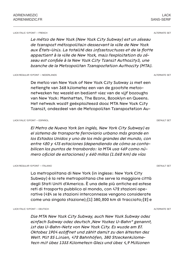LACK ITALIC 13 POINT — FRENCH

*Le métro de New York (New York City Subway) est un réseau de transport métropolitain desservant la ville de New York aux États-Unis. La totalité des infrastructures et de la flotte appartient à la ville de New York, mais l'exploitation du réseau est confiée à la New York City Transit Authority3, une branche de la Metropolitan Transportation Authority (MTA).*

LACK REGULAR 13 POINT — NEDERLANDS

De metro van New York of New York City Subway is met een netlengte van 368 kilometer een van de grootste metronetwerken ter wereld en bedient vier van de vijf boroughs van New York: Manhattan, The Bronx, Brooklyn en Queens. Het netwerk wordt geëxploiteerd door MTA New York City Transit, onderdeel van de Metropolitan Transportation Au-

LACK IYALIC 13 POINT — ESPAÑOL

*El Metro de Nueva York (en inglés, New York City Subway) es el sistema de transporte ferroviario urbano más grande en los Estados Unidos y uno de los más grandes del mundo, con entre 420 y 475 estaciones (dependiendo de cómo se contabilicen los puntos de transbordo: la MTA usa 469 como número oficial de estaciones) y 660 millas (1.062 km) de vías* 

LACK REGULAR 13 POINT — ITALIANO

La metropolitana di New York (in inglese: New York City Subway) è la rete metropolitana che serve la maggiore città degli Stati Uniti d'America. È una delle più antiche ed estese reti di trasporto pubblico al mondo, con 472 stazioni operative (424 se le stazioni interconnesse vengono considerate come una singola stazione);[1] 380,200 km di tracciato;[2] e

LACK ITALIC 13 POINT — DEUTSCH

*Die MTA New York City Subway, auch New York Subway oder einfach Subway oder deutsch "New Yorker U-Bahn" genannt, ist das U-Bahn-Netz von New York City. Es wurde am 27. Oktober 1904 eröffnet und zählt damit zu den ältesten der Welt. Mit 25 Linien, 472 Bahnhöfen, 380 Streckenkilometern mit über 1355 Kilometern Gleis und über 4,9 Millionen* 

ALTERNATE SET

DEFAULT SET

DEFAULT SET

ALTERNATE SET

LACK

SANS-SERIF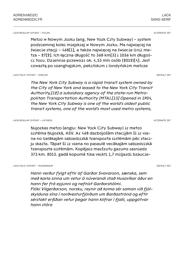LACK REGULAR 13 POINT — POLSKI

Metro w Nowym Jorku (ang. New York City Subway) – system podziemnej kolei miejskiej w Nowym Jorku. Ma najwięcej na świecie stacji – 468[1], a także najwięcej na świecie linii metra – 27[2]. Ich łączna długość to 368 km[3] i 1056 km długości toru. Dziennie przewozi ok. 4,53 mln osób (2012)[4]. Jest czwartą po szanghajskim, pekińskim i londyńskim metrze

LACK ITALIC 13 POINT — ENGLISH

*The New York City Subway is a rapid transit system owned by the City of New York and leased to the New York City Transit Authority,[12] a subsidiary agency of the state-run Metropolitan Transportation Authority (MTA).[13] Opened in 1904, the New York City Subway is one of the world's oldest public transit systems, one of the world's most used metro systems,* 

LACK REGULAR 13 POINT — LATVIEŠU

Ņujorkas metro (angļu: New York City Subway) ir metro sistēma Ņujorkā, ASV. Ar 468 darbojošām stacijām šī ir viena no lielākajām sabiedriskā transporta sistēmām pēc staciju skaita. Tāpat šī ir viena no pasaulē vecākajām sabiedriskā transporta sistēmām. Kopējais maršrutu garums sasniedz 373 km. 2013. gadā kopumā tika veikti 1,7 miljardi braucie-

LACK ITALIC 13 POINT — ÍSLENDINGUR

*Hann verður fylgt eftir af Garðar Svavarson, sænska, sem með karla sinna um vetur á núverandi stað Husavíkar áður en hann fer frá eyjunni og nefnist Garðarshólmi. Flóki Vilgerðarson, norsku, reynir að koma sér saman við fjölskylduna sína í norðvesturfjörðum um Barðaströnd og eftir sérstakt erfiðan vetur þegar hann klifrar í fjalli, uppgötvar hann stóra*

ALTERNATE SET

ALTERNATE SET

DEFAULT SET

DEFAULT SET

SANS-SERIF

LACK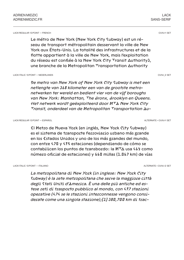LACK REGULAR 13 POINT — FRENCH

Le métro de New York (New York City Subway) est un réseau de transport métropolitain desservant la ville de New York aux États-Unis. La totalité des infrastructures et de la flotte appartient à la ville de New York, mais l'exploitation du réseau est confiée à la New York City Transit Authority3, une branche de la Metropolitan Transportation Authority

LACK ITALIC 13 POINT — NEDERLANDS

*De metro van New York of New York City Subway is met een netlengte van 368 kilometer een van de grootste metronetwerken ter wereld en bedient vier van de vijf boroughs van New York: Manhattan, The Bronx, Brooklyn en Queens. Het netwerk wordt geëxploiteerd door MTA New York City Transit, onderdeel van de Metropolitan Transportation Au-*

LACK REGULAR 13 POINT — ESPAÑOL

El Metro de Nueva York (en inglés, New York City Subway) es el sistema de transporte ferroviario urbano más grande en los Estados Unidos y uno de los más grandes del mundo, con entre 420 y 475 estaciones (dependiendo de cómo se contabilicen los puntos de transbordo: la MTA usa 469 como número oficial de estaciones) y 660 millas (1.062 km) de vías

LACK ITALIC 13 POINT — ITALIANO

*La metropolitana di New York (in inglese: New York City Subway) è la rete metropolitana che serve la maggiore città degli Stati Uniti d'America. È una delle più antiche ed estese reti di trasporto pubblico al mondo, con 472 stazioni operative (424 se le stazioni interconnesse vengono considerate come una singola stazione);[1] 380,200 km di trac-*

ALTERNATE + O.V.N.I-1 SET

O.V.N.I-1 SET

LACK

O.V.N.I\_2 SET

SANS-SERIF

ALTERNATE + OVN I-2 SET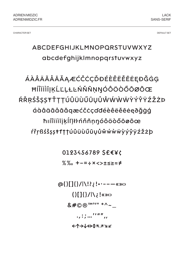**DEFAULT SET** 

#### ABCDEFGHIJKLMNOPORSTUVWXYZ abcdefghijkImnopqrsfuvwxyz

### ÁÀÂÄÄÅĀĂĄÆĆČĊÇĎĐÉÈÊËĔĒĖĘĐĞĠĢ **ĦÍÎÏİİJĶĹĽĻŁĿŃŇÑŅŊÓÔÖÔŐŌØÕŒ** ŔŘŖŚŠSSŦŤTTÚÛÜÙŰŪŲŮŴŴŴŴŶÝŶŸŹŽŻÞ áàâäãåāăgæćčċçďdéèêëĕēėęðğġģ hıíîïiìījķĺľļłŀńňñņŋóôöòőōøõœ ŕřŗßśšṣṣŧťţţúûüùűūụůŵẃẁẅỳýŷÿźžżþ

0123456789 S£€¥¢

%‰ +-=÷×<>±≤≥≈≠

 $\omega(1)$ []{}/|\!?;!•·---«»  $\{0,1\}$   $\{0,1\}$ &#©®™°'" \*^~\_  $\leftarrow \uparrow \rightarrow \downarrow \leftrightarrow \uparrow \uparrow \wedge \rightarrow \vee \swarrow$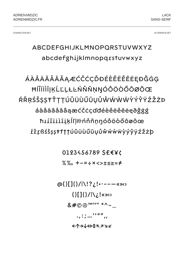ALTERNATE SET

#### ABCDEFGHIJKLMNOPORSTUVWXYZ abcdefghijkImnopqrstuvwxyz

ÁÀÂÄÄÅĀĂAÆĆČĊÇĎĐÉÈÊËĔĒĖĘĐĞĠĢ **ĦÍÎÏİİJĶĹĽĻŁĿŃŇÑŅŊÓÔÖÔŐŌØÕŒ** ŔŘŖŚŠSSŦŤTTÚÛÜÙŰŪŲŮŴŴŴŴŶÝŶŸŹŽŻÞ áàâäãåāăaæćčċçďdéèêëěēėąðğġģ ħıíîïiìīikĺľļłŀńňñņŋóôöòőōøõœ *ÉLIBSSSS#111ÚÛÜÙŰŪYŮŴŴŴŴỳýŷÿŹŽŻb* 

0123456789 S£€¥¢

%‰ +-=÷×<>±≤≥≈≠

 $\omega(1)$ []{}/|\!?;!•·---«»  $(|[] \{ \} / | \chi_{\zeta} | \langle \chi_{\zeta} |$ &#©®™°'" \*^~\_  $\leftarrow \uparrow \rightarrow \downarrow \leftrightarrow \uparrow \uparrow \wedge \rightarrow \vee \swarrow$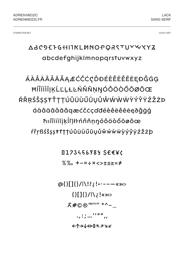O.V.N.I-1SET

#### **ABC9EFGHIIKLMNOPQRSTUYWYYZ** abcdefghijkImnopqrsfuvwxyz

ÁÀÂÄÄÅĀĂAÆĆČĊÇĎĐÉÈÊËĔĖEĐĞĠG **ĦÍÎÏİİJĶĹĽĻŁĿŃŇÑŅŊÓÔÖÔŐŌØÕŒ** ŔŘŖŚŠSSŦŤTTÚÛÜÙŰŪŲŮŴŴŴŴŶÝŶŸŹŽŻÞ áàâäãåāăgæćčċçďdéèêëĕēėęðğġģ hıíîïiìījķĺľļłŀńňñņŋóôöòőōøõœ ŕřŗßśšṣṣŧťţţúûüùűūụůŵẃẁẅỳýŷÿźžżþ

**□123456789 SE€¥¢** 

 $\%$ % + - = ÷ × <> ± < ≥ ≈ ≠

 $\omega(1)$ []{}/|\!?;!•·---«»  $\{0,1\}$   $\{0,1\}$  $X\#$ ©®™°I" \*^~\_  $\leftarrow \uparrow \rightarrow \downarrow \leftrightarrow \uparrow \uparrow \wedge \rightarrow \vee \swarrow$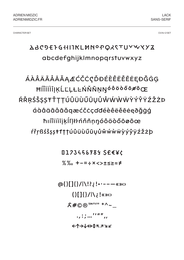O.V.N.I-2 SET

#### **ABC9EFGHIIKLMNºPQXSTUYWYYZ** abcdefghijkImnopqrsfuvwxyz

### ÁÀÂÄÄÅĀĂĄÆĆČĊÇĎĐÉÈÊËĔĖĖĘĐĞĠĢ ĦĺĨÏİĬĪJĶĹĽĻŁĿŃŇÑŅŊÓÔÖŎŐŌØÕŒ ŔŘŖŚŠSSŦŤTTÚÛÜÙŰŪŲŮŴŴŴŴŶÝŶŸŹŽŻÞ áàâäãåāăgæćčċçďdéèêëĕēėęðğġģ hıíîïiìījķĺľļłŀńňñņŋóôöòőōøõœ ŕřŗßśšṣṣŧťţţúûüùűūụůŵẃẁẅỳýŷÿźžżþ

**□123456789 SE€¥¢** 

 $\%$ % + - = ÷ × <> ± < ≥ ≈ ≠

 $\omega(1)$ []{}/|\!?;!•·---«»  $\{0,1\}$   $\{0,1\}$  $X\#$ ©®™°I" \*^~\_  $\leftarrow \uparrow \rightarrow \downarrow \leftrightarrow \uparrow \uparrow \wedge \rightarrow \vee \swarrow$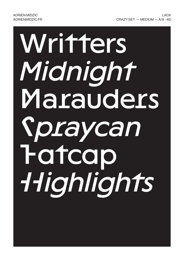# Writters *Midnight* Marauders *Spraycan* Fatcap *Highlights*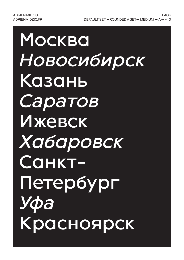### Москва *Новосибирск* Казань *Саратов* Ижевск *Хабаровск* Санкт-Петербург *Уфа* Красноярск